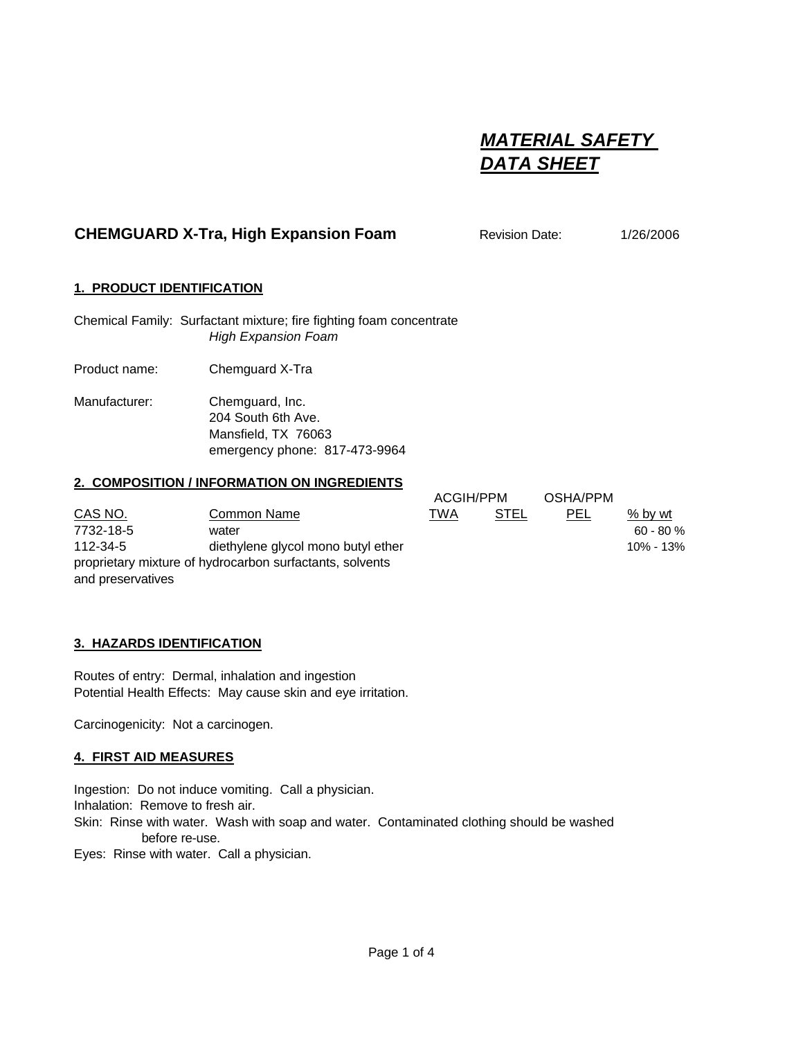# *MATERIAL SAFETY DATA SHEET*

## **CHEMGUARD X-Tra, High Expansion Foam** Revision Date: 1/26/2006

## **1. PRODUCT IDENTIFICATION**

Chemical Family: Surfactant mixture; fire fighting foam concentrate *High Expansion Foam*

Product name: Chemguard X-Tra

Manufacturer: Chemguard, Inc. 204 South 6th Ave. Mansfield, TX 76063 emergency phone: 817-473-9964

#### **2. COMPOSITION / INFORMATION ON INGREDIENTS**

CAS NO. Common Name 7732-18-5 water 60 - 80 % 112-34-5 diethylene glycol mono butyl ethe proprietary mixture of hydrocarbon surfactants, solvents and preservatives

|    | <b>ACGIH/PPM</b> |      | OSHA/PPM |              |
|----|------------------|------|----------|--------------|
|    | TWA              | STEL | PEL      | % by wt      |
|    |                  |      |          | $60 - 80 \%$ |
| ۹r |                  |      |          | 10% - 13%    |
|    |                  |      |          |              |

## **3. HAZARDS IDENTIFICATION**

Routes of entry: Dermal, inhalation and ingestion Potential Health Effects: May cause skin and eye irritation.

Carcinogenicity: Not a carcinogen.

#### **4. FIRST AID MEASURES**

Ingestion: Do not induce vomiting. Call a physician.

Inhalation: Remove to fresh air.

Skin: Rinse with water. Wash with soap and water. Contaminated clothing should be washed before re-use.

Eyes: Rinse with water. Call a physician.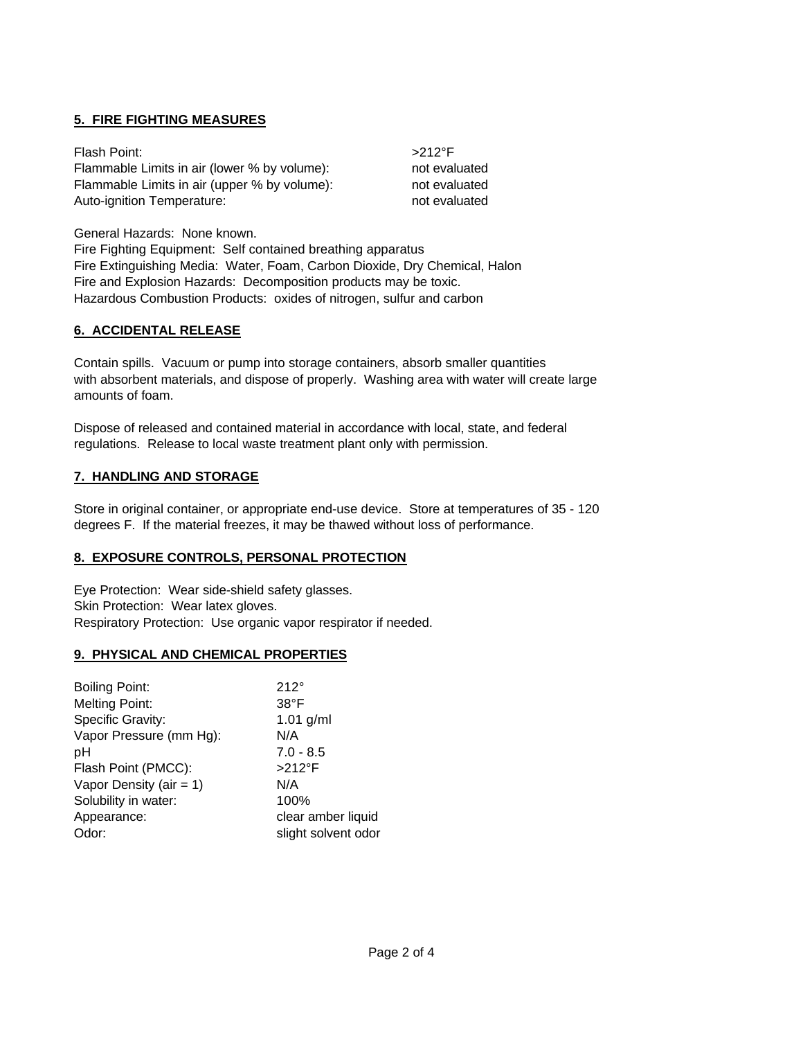## **5. FIRE FIGHTING MEASURES**

| Flash Point:                                 | $>212$ °F     |
|----------------------------------------------|---------------|
| Flammable Limits in air (lower % by volume): | not evaluated |
| Flammable Limits in air (upper % by volume): | not evaluated |
| Auto-ignition Temperature:                   | not evaluated |

General Hazards: None known.

Fire Fighting Equipment: Self contained breathing apparatus Fire Extinguishing Media: Water, Foam, Carbon Dioxide, Dry Chemical, Halon Fire and Explosion Hazards: Decomposition products may be toxic. Hazardous Combustion Products: oxides of nitrogen, sulfur and carbon

## **6. ACCIDENTAL RELEASE**

Contain spills. Vacuum or pump into storage containers, absorb smaller quantities with absorbent materials, and dispose of properly. Washing area with water will create large amounts of foam.

Dispose of released and contained material in accordance with local, state, and federal regulations. Release to local waste treatment plant only with permission.

## **7. HANDLING AND STORAGE**

Store in original container, or appropriate end-use device. Store at temperatures of 35 - 120 degrees F. If the material freezes, it may be thawed without loss of performance.

## **8. EXPOSURE CONTROLS, PERSONAL PROTECTION**

Eye Protection: Wear side-shield safety glasses. Skin Protection: Wear latex gloves. Respiratory Protection: Use organic vapor respirator if needed.

## **9. PHYSICAL AND CHEMICAL PROPERTIES**

| <b>Boiling Point:</b>      | $212^\circ$         |
|----------------------------|---------------------|
| <b>Melting Point:</b>      | $38^{\circ}$ F      |
| Specific Gravity:          | $1.01$ g/ml         |
| Vapor Pressure (mm Hg):    | N/A                 |
| рH                         | $7.0 - 8.5$         |
| Flash Point (PMCC):        | $>212$ °F           |
| Vapor Density (air = $1$ ) | N/A                 |
| Solubility in water:       | 100%                |
| Appearance:                | clear amber liquid  |
| Odor:                      | slight solvent odor |
|                            |                     |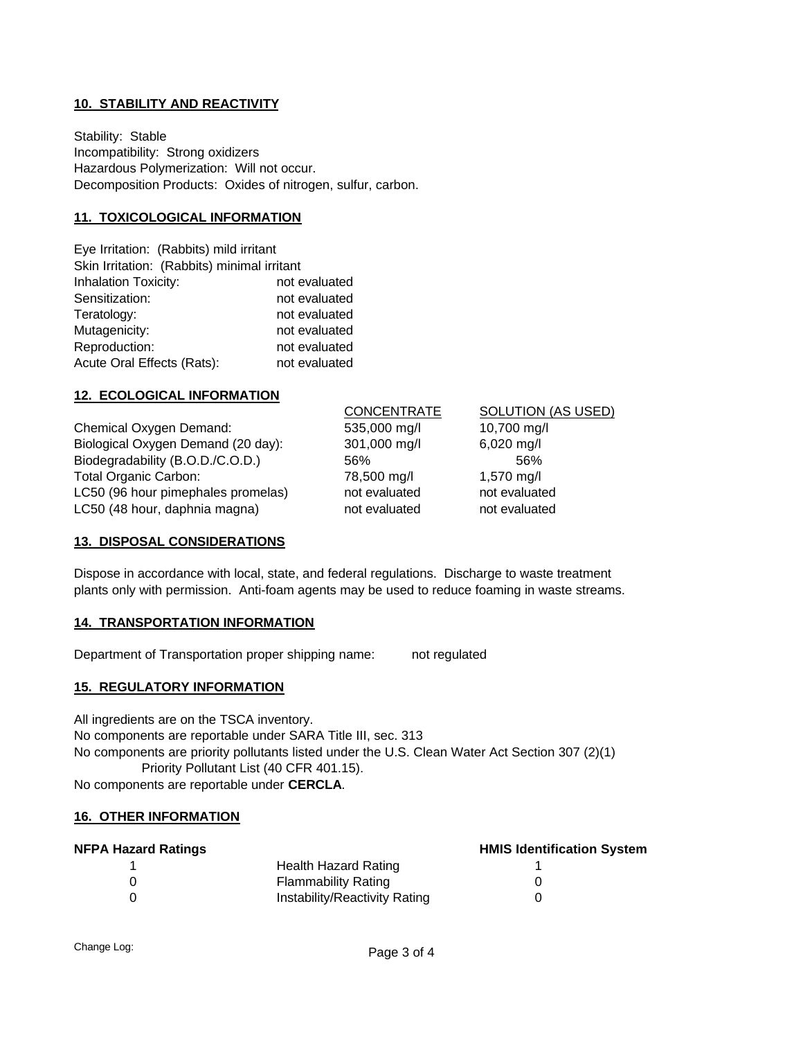## **10. STABILITY AND REACTIVITY**

Stability: Stable Incompatibility: Strong oxidizers Hazardous Polymerization: Will not occur. Decomposition Products: Oxides of nitrogen, sulfur, carbon.

#### **11. TOXICOLOGICAL INFORMATION**

| Eye Irritation: (Rabbits) mild irritant     |               |  |  |  |  |
|---------------------------------------------|---------------|--|--|--|--|
| Skin Irritation: (Rabbits) minimal irritant |               |  |  |  |  |
| <b>Inhalation Toxicity:</b>                 | not evaluated |  |  |  |  |
| Sensitization:                              | not evaluated |  |  |  |  |
| Teratology:                                 | not evaluated |  |  |  |  |
| Mutagenicity:                               | not evaluated |  |  |  |  |
| Reproduction:                               | not evaluated |  |  |  |  |
| Acute Oral Effects (Rats):                  | not evaluated |  |  |  |  |

#### **12. ECOLOGICAL INFORMATION**

Chemical Oxygen Demand: 535,000 mg/l 10,700 mg/l Biological Oxygen Demand (20 day): 301,000 mg/l 6,020 mg/l Biodegradability (B.O.D./C.O.D.) 56% 56% 56% Total Organic Carbon: 78,500 mg/l 1,570 mg/l LC50 (96 hour pimephales promelas) not evaluated not evaluated LC50 (48 hour, daphnia magna) hot evaluated not evaluated not evaluated

CONCENTRATE SOLUTION (AS USED)

#### **13. DISPOSAL CONSIDERATIONS**

Dispose in accordance with local, state, and federal regulations. Discharge to waste treatment plants only with permission. Anti-foam agents may be used to reduce foaming in waste streams.

#### **14. TRANSPORTATION INFORMATION**

Department of Transportation proper shipping name: not regulated

#### **15. REGULATORY INFORMATION**

All ingredients are on the TSCA inventory. No components are reportable under SARA Title III, sec. 313 No components are priority pollutants listed under the U.S. Clean Water Act Section 307 (2)(1) Priority Pollutant List (40 CFR 401.15). No components are reportable under **CERCLA**.

#### **16. OTHER INFORMATION**

| <b>NFPA Hazard Ratings</b> | <b>HMIS Identification System</b> |  |
|----------------------------|-----------------------------------|--|
|                            | Health Hazard Rating              |  |
|                            | Flammability Rating               |  |
|                            | Instability/Reactivity Rating     |  |